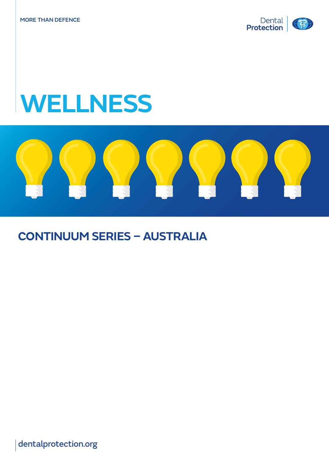

# **WELLNESS**



## **CONTINUUM SERIES – AUSTRALIA**

dentalprotection.org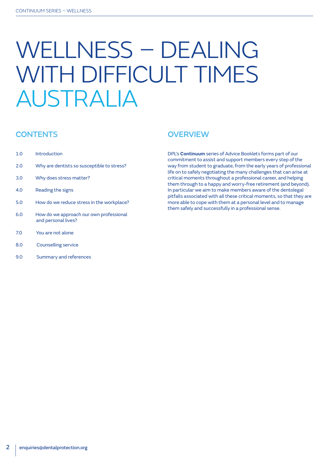# WELLNESS – DEALING WITH DIFFICULT TIMES AUSTRALIA

### **CONTENTS**

- 1.0 Introduction
- 2.0 Why are dentists so susceptible to stress?
- 3.0 Why does stress matter?
- 4.0 Reading the signs
- 5.0 How do we reduce stress in the workplace?
- 6.0 How do we approach our own professional and personal lives?
- 7.0 You are not alone
- 8.0 Counselling service
- 9.0 Summary and references

### **OVERVIEW**

DPL's **Continuum** series of Advice Booklets forms part of our commitment to assist and support members every step of the way from student to graduate, from the early years of professional life on to safely negotiating the many challenges that can arise at critical moments throughout a professional career, and helping them through to a happy and worry-free retirement (and beyond). In particular we aim to make members aware of the dentolegal pitfalls associated with all these critical moments, so that they are more able to cope with them at a personal level and to manage them safely and successfully in a professional sense.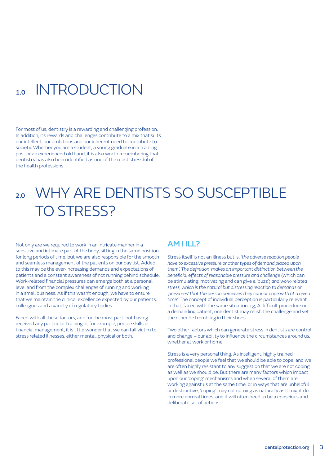## 1.0 INTRODUCTION

For most of us, dentistry is a rewarding and challenging profession. In addition, its rewards and challenges contribute to a mix that suits our intellect, our ambitions and our inherent need to contribute to society. Whether you are a student, a young graduate in a training post or an experienced old hand, it is also worth remembering that dentistry has also been identified as one of the most stressful of the health professions.

# 2.0 WHY ARE DENTISTS SO SUSCEPTIBLE TO STRESS?

Not only are we required to work in an intricate manner in a sensitive and intimate part of the body, sitting in the same position for long periods of time, but we are also responsible for the smooth and seamless management of the patients on our day list. Added to this may be the ever-increasing demands and expectations of patients and a constant awareness of not running behind schedule. Work-related financial pressures can emerge both at a personal level and from the complex challenges of running and working in a small business. As if this wasn't enough, we have to ensure that we maintain the clinical excellence expected by our patients, colleagues and a variety of regulatory bodies.

Faced with all these factors, and for the most part, not having received any particular training in, for example, people skills or financial management, it is little wonder that we can fall victim to stress related illnesses, either mental, physical or both.

#### **AM I II 12**

Stress itself is not an illness but is, *'the adverse reaction people have to excessive pressure or other types of demand placed upon them'. The definition 'makes an important distinction between the beneficial effects of reasonable pressure and challenge* (which can be stimulating, motivating and can give a 'buzz') *and work-related stress, which is the natural but distressing reaction to demands or 'pressures' that the person perceives they cannot cope with at a given time'.* The concept of individual perception is particularly relevant in that, faced with the same situation, eg, A difficult procedure or a demanding patient, one dentist may relish the challenge and yet the other be trembling in their shoes!

Two other factors which can generate stress in dentists are control and change – our ability to influence the circumstances around us, whether at work or home.

Stress is a very personal thing. As intelligent, highly trained professional people we feel that we should be able to cope, and we are often highly resistant to any suggestion that we are not coping as well as we should be. But there are many factors which impact upon our 'coping' mechanisms and when several of them are working against us at the same time, or in ways that are unhelpful or destructive, 'coping' may not coming as naturally as it might do in more normal times, and it will often need to be a conscious and deliberate set of actions.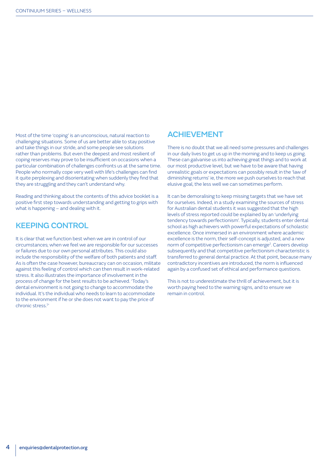Most of the time 'coping' is an unconscious, natural reaction to challenging situations. Some of us are better able to stay positive and take things in our stride, and some people see solutions rather than problems. But even the deepest and most resilient of coping reserves may prove to be insufficient on occasions when a particular combination of challenges confronts us at the same time. People who normally cope very well with life's challenges can find it quite perplexing and disorientating when suddenly they find that they are struggling and they can't understand why.

Reading and thinking about the contents of this advice booklet is a positive first step towards understanding and getting to grips with what is happening – and dealing with it.

#### KEEPING CONTROL

It is clear that we function best when we are in control of our circumstances; when we feel we are responsible for our successes or failures due to our own personal attributes. This could also include the responsibility of the welfare of both patients and staff. As is often the case however, bureaucracy can on occasion, militate against this feeling of control which can then result in work-related stress. It also illustrates the importance of involvement in the process of change for the best results to be achieved. 'Today's dental environment is not going to change to accommodate the individual. It's the individual who needs to learn to accommodate to the environment if he or she does not want to pay the price of chronic stress.1 '

#### ACHIEVEMENT

There is no doubt that we all need some pressures and challenges in our daily lives to get us up in the morning and to keep us going. These can galvanise us into achieving great things and to work at our most productive level, but we have to be aware that having unrealistic goals or expectations can possibly result in the 'law of diminishing returns' ie, the more we push ourselves to reach that elusive goal, the less well we can sometimes perform.

It can be demoralising to keep missing targets that we have set for ourselves. Indeed, in a study examining the sources of stress for Australian dental students it was suggested that the high levels of stress reported could be explained by an 'underlying tendency towards perfectionism'. Typically, students enter dental school as high achievers with powerful expectations of scholastic excellence. Once immersed in an environment where academic excellence is the norm, their self-concept is adjusted, and a new norm of competitive perfectionism can emerge<sup>2</sup>. Careers develop subsequently and that competitive perfectionism characteristic is transferred to general dental practice. At that point, because many contradictory incentives are introduced, the norm is influenced again by a confused set of ethical and performance questions.

This is not to underestimate the thrill of achievement, but it is worth paying heed to the warning signs, and to ensure we remain in control.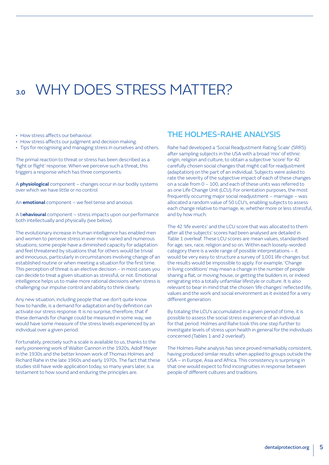# 3.0 WHY DOES STRESS MATTER?

• How stress affects our behaviour.

- How stress affects our judgment and decision making.
- Tips for recognising and managing stress in ourselves and others.

The primal reaction to threat or stress has been described as a 'fight or flight' response. When we perceive such a threat, this triggers a response which has three components:

A **physiological** component – changes occur in our bodily systems over which we have little or no control

An **emotional** component – we feel tense and anxious

A b**ehavioural** component – stress impacts upon our performance both intellectually and physically (see below).

The evolutionary increase in human intelligence has enabled men and women to perceive stress in ever more varied and numerous situations; some people have a diminished capacity for adaptation and feel threatened by situations that for others would be trivial and innocuous, particularly in circumstances involving change of an established routine or when meeting a situation for the first time. This perception of threat is an elective decision – in most cases you can decide to treat a given situation as stressful, or not. Emotional intelligence helps us to make more rational decisions when stress is challenging our impulse control and ability to think clearly.

Any new situation, including people that we don't quite know how to handle, is a demand for adaptation and by definition can activate our stress response. It is no surprise, therefore, that if these demands for change could be measured in some way, we would have some measure of the stress levels experienced by an individual over a given period.

Fortunately, precisely such a scale is available to us, thanks to the early pioneering work of Walter Cannon in the 1920s, Adolf Meyer in the 1930s and the better known work of Thomas Holmes and Richard Rahe in the late 1960s and early 1970s. The fact that these studies still have wide application today, so many years later, is a testament to how sound and enduring the principles are.

#### THE HOLMES-RAHE ANALYSIS

Rahe had developed a 'Social Readjustment Rating Scale' (SRRS) after sampling subjects in the USA with a broad 'mix' of ethnic origin, religion and culture, to obtain a subjective 'score' for 42 carefully chosen social changes that might call for readjustment (adaptation) on the part of an individual. Subjects were asked to rate the severity of the subjective impact of each of these changes on a scale from 0 – 100, and each of these units was referred to as one Life Change Unit (LCU). For orientation purposes, the most frequently occurring major social readjustment – marriage – was allocated a random value of 50 LCU's, enabling subjects to assess each change relative to marriage, ie, whether more or less stressful, and by how much.

The 42 'life events' and the LCU score that was allocated to them after all the subjects' scores had been analysed are detailed in Table 1 overleaf. These LCU scores are mean values, standardised for age, sex, race, religion and so on. Within each loosely-worded category there is a wide range of possible interpretations – it would be very easy to structure a survey of 1,001 life changes but the results would be impossible to apply. For example, 'Change in living conditions' may mean a change in the number of people sharing a flat, or moving house, or getting the builders in, or indeed emigrating into a totally unfamiliar lifestyle or culture. It is also relevant to bear in mind that the chosen 'life changes' reflected life, values and the work and social environment as it existed for a very different generation.

By totaling the LCU's accumulated in a given period of time, it is possible to assess the social stress experience of an individual for that period. Holmes and Rahe took this one step further to investigate levels of stress upon health in general for the individuals concerned (Tables 1 and 2 overleaf).

The Holmes-Rahe analysis has since proved remarkably consistent, having produced similar results when applied to groups outside the USA – in Europe, Asia and Africa. This consistency is surprising in that one would expect to find incongruities in response between people of different cultures and traditions.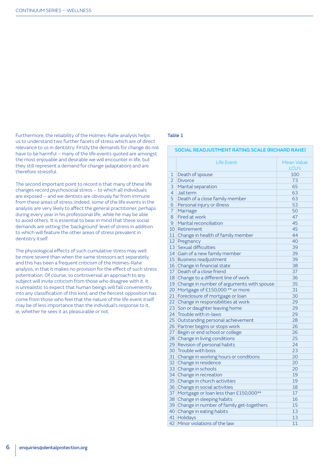Furthermore, the reliability of the Holmes-Rahe analysis helps us to understand two further facets of stress which are of direct relevance to us in dentistry. Firstly the demands for change do not have to be harmful – many of the life events quoted are amongst the most enjoyable and desirable we will encounter in life, but they still represent a demand for change (adaptation) and are therefore stressful.

The second important point to record is that many of these life changes record psychosocial stress – to which all individuals are exposed – and we dentists are obviously far from immune from these areas of stress. Indeed, some of the life events in the analysis are very likely to affect the general practitioner, perhaps during every year in his professional life, while he may be able to avoid others. It is essential to bear in mind that these social demands are setting the 'background' level of stress in addition to which will feature the other areas of stress prevalent in dentistry itself.

The physiological effects of such cumulative stress may well be more severe than when the same stressors act separately, and this has been a frequent criticism of the Holmes-Rahe analysis, in that it makes no provision for the effect of such stress potentiation. Of course, so controversial an approach to any subject will invite criticism from those who disagree with it. It is unrealistic to expect that human beings will fall conveniently into any classification of this kind, and the fiercest opposition has come from those who feel that the nature of the life event itself may be of less importance than the individual's response to it, ie, whether he sees it as pleasurable or not.

#### Table 1

#### SOCIAL READJUSTMENT RATING SCALE (RICHARD RAHE)

|                 | <b>Life Event</b>                           | <b>Mean Value</b> |  |  |  |  |  |  |  |  |
|-----------------|---------------------------------------------|-------------------|--|--|--|--|--|--|--|--|
|                 |                                             | LCU's             |  |  |  |  |  |  |  |  |
| 1               | Death of spouse                             | 100               |  |  |  |  |  |  |  |  |
| $\overline{2}$  | <b>Divorce</b>                              | 73                |  |  |  |  |  |  |  |  |
| 3               | Marital separation                          | 65                |  |  |  |  |  |  |  |  |
| $\overline{4}$  | Jail term                                   | 63                |  |  |  |  |  |  |  |  |
| 5               | Death of a close family member              | 63                |  |  |  |  |  |  |  |  |
| 6               | Personal injury or illness                  | 53                |  |  |  |  |  |  |  |  |
| $\overline{7}$  | Marriage                                    | 50                |  |  |  |  |  |  |  |  |
| 8               | Fired at work<br>47                         |                   |  |  |  |  |  |  |  |  |
| 9               | 45<br>Marital reconciliation                |                   |  |  |  |  |  |  |  |  |
| 10              | Retirement                                  | 45                |  |  |  |  |  |  |  |  |
| 11              | Change in health of family member           | 44                |  |  |  |  |  |  |  |  |
| 12              | Pregnancy                                   | 40                |  |  |  |  |  |  |  |  |
| 13              | Sexual difficulties                         | 39                |  |  |  |  |  |  |  |  |
| 14              | Gain of a new family member                 | 39                |  |  |  |  |  |  |  |  |
| 15 <sup>1</sup> | <b>Business readjustment</b>                | 39                |  |  |  |  |  |  |  |  |
| 16              | Change in financial state                   | 38                |  |  |  |  |  |  |  |  |
| 17 <sup>2</sup> | Death of a close friend                     | 37                |  |  |  |  |  |  |  |  |
| 18              | Change to a different line of work          | 36                |  |  |  |  |  |  |  |  |
| 19              | Change in number of arguments with spouse   | 35                |  |  |  |  |  |  |  |  |
| 20              | Mortgage of £150,000 ** or more             | 31                |  |  |  |  |  |  |  |  |
| 21              | Foreclosure of mortgage or loan             | 30                |  |  |  |  |  |  |  |  |
| 22              | Change in responsibilities at work          | 29                |  |  |  |  |  |  |  |  |
| 23              | Son or daughter leaving home                | 29                |  |  |  |  |  |  |  |  |
| 24              | Trouble with in-laws                        | 29                |  |  |  |  |  |  |  |  |
| 25              | Outstanding personal achievement            | 28                |  |  |  |  |  |  |  |  |
| 26              | Partner begins or stops work                | 26                |  |  |  |  |  |  |  |  |
| 27              | Begin or end school or college              | 26                |  |  |  |  |  |  |  |  |
| 28              | Change in living conditions                 | 25                |  |  |  |  |  |  |  |  |
| 29              | Revision of personal habits                 | 24                |  |  |  |  |  |  |  |  |
| 30              | Trouble with boss                           | 23                |  |  |  |  |  |  |  |  |
| 31              | Change in working hours or conditions       | 20                |  |  |  |  |  |  |  |  |
| 32 <sup>2</sup> | Change in residence                         | 20                |  |  |  |  |  |  |  |  |
|                 | 33 Change in schools                        | 20                |  |  |  |  |  |  |  |  |
|                 | 34 Change in recreation                     | 19                |  |  |  |  |  |  |  |  |
| 35              | Change in church activities                 | 19                |  |  |  |  |  |  |  |  |
|                 | 36 Change in social activities              | 18                |  |  |  |  |  |  |  |  |
| 37              | Mortgage or loan less than £150,000**       | 17                |  |  |  |  |  |  |  |  |
|                 | 38 Change in sleeping habits                | 16                |  |  |  |  |  |  |  |  |
|                 | 39 Change in number of family get-togethers | 15                |  |  |  |  |  |  |  |  |
|                 | 40 Change in eating habits                  | 13                |  |  |  |  |  |  |  |  |
| 41              | Holidays                                    | 13                |  |  |  |  |  |  |  |  |
| 42              | Minor violations of the law                 | 11                |  |  |  |  |  |  |  |  |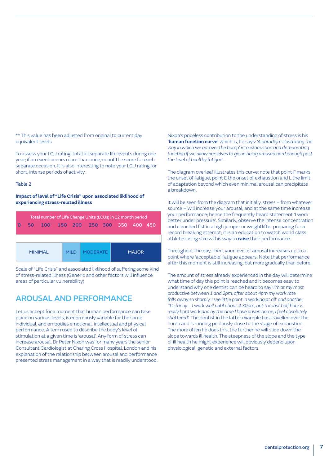\*\* This value has been adjusted from original to current day equivalent levels

To assess your LCU rating, total all separate life events during one year; if an event occurs more than once, count the score for each separate occasion. It is also interesting to note your LCU rating for short, intense periods of activity.

#### Table 2

#### **Impact of level of "Life Crisis" upon associated liklihood of experiencing stress-related illness**

|                | 50 | Total number of Life Change Units (LCUs) in 12 month period<br>100 |       | 150 200 250 300 350 |                 |  |              |  | 400 450 |  |
|----------------|----|--------------------------------------------------------------------|-------|---------------------|-----------------|--|--------------|--|---------|--|
| <b>MINIMAI</b> |    |                                                                    | MII D |                     | <b>MODERATE</b> |  | <b>MAJOR</b> |  |         |  |

Scale of "Life Crisis" and associated liklihood of suffering some kind of stress-related illness (Generic and other factors will influence areas of particular vulnerability)

#### AROUSAL AND PERFORMANCE

Let us accept for a moment that human performance can take place on various levels, is enormously variable for the same individual, and embodies emotional, intellectual and physical performance. A term used to describe the body's level of stimulation at a given time is 'arousal'. Any form of stress can increase arousal. Dr Peter Nixon was for many years the senior Consultant Cardiologist at Charing Cross Hospital, London and his explanation of the relationship between arousal and performance presented stress management in a way that is readily understood. Nixon's priceless contribution to the understanding of stress is his **'human function curve'** which is, he says: *'A paradigm illustrating the way in which we go 'over the hump' into exhaustion and deteriorating function if we allow ourselves to go on being aroused hard enough past the level of healthy fatigue'.*

The diagram overleaf illustrates this curve; note that point F marks the onset of fatigue, point E the onset of exhaustion and L the limit of adaptation beyond which even minimal arousal can precipitate a breakdown.

It will be seen from the diagram that initially, stress – from whatever source – will increase your arousal, and at the same time increase your performance; hence the frequently heard statement 'I work better under pressure'. Similarly, observe the intense concentration and clenched fist in a high jumper or weightlifter preparing for a record breaking attempt; it is an education to watch world class athletes using stress this way to **raise** their performance.

Throughout the day, then, your level of arousal increases up to a point where 'acceptable' fatigue appears. Note that performance after this moment is still increasing, but more gradually than before.

The amount of stress already experienced in the day will determine what time of day this point is reached and it becomes easy to understand why one dentist can be heard to say '*I'm at my most productive between 1 and 2pm; after about 4pm my work rate falls away so sharply, I see little point in working at all' and another 'It's funny – I work well until about 4.30pm, but the last half hour is really hard work and by the time I have driven home, I feel absolutely shattered'.* The dentist in the latter example has travelled over the hump and is running perilously close to the stage of exhaustion. The more often he does this, the further he will slide down the slope towards ill health. The steepness of the slope and the type of ill health he might experience will obviously depend upon physiological, genetic and external factors.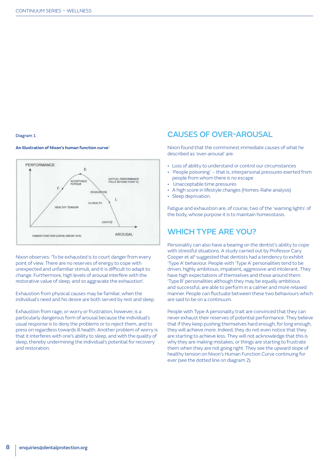#### Diagram 1

#### **An illustration of Nixon's human function curve**<sup>3</sup>



Nixon observes: 'To be exhausted is to court danger from every point of view. There are no reserves of energy to cope with unexpected and unfamiliar stimuli, and it is difficult to adapt to change. Furthermore, high levels of arousal interfere with the restorative value of sleep, and so aggravate the exhaustion'.

Exhaustion from physical causes may be familiar, when the individual's need and his desire are both served by rest and sleep.

Exhaustion from rage, or worry or frustration, however, is a particularly dangerous form of arousal because the individual's usual response is to deny the problems or to reject them, and to press on regardless towards ill health. Another problem of worry is that it interferes with one's ability to sleep, and with the quality of sleep, thereby undermining the individual's potential for recovery and restoration.

### CAUSES OF OVER-AROUSAL

Nixon found that the commonest immediate causes of what he described as 'over-arousal' are:

- Loss of ability to understand or control our circumstances
- 'People poisoning' that is, interpersonal pressures exerted from people from whom there is no escape
- Unacceptable time pressures
- A high score in lifestyle changes (Homes-Rahe analysis)
- Sleep deprivation.

Fatigue and exhaustion are, of course, two of the 'warning lights' of the body, whose purpose it is to maintain homeostasis.

#### WHICH TYPE ARE YOU?

Personality can also have a bearing on the dentist's ability to cope with stressful situations. A study carried out by Professor Cary Cooper et al<sup>4</sup> suggested that dentists had a tendency to exhibit 'Type A' behaviour. People with 'Type A' personalities tend to be driven, highly ambitious, impatient, aggressive and intolerant. They have high expectations of themselves and those around them. 'Type B' personalities although they may be equally ambitious and successful, are able to perform in a calmer and more relaxed manner. People can fluctuate between these two behaviours which are said to be on a continuum.

People with Type A personality trait are convinced that they can never exhaust their reserves of potential performance. They believe that if they keep pushing themselves hard enough, for long enough, they will achieve more. Indeed, they do not even notice that they are starting to achieve less. They will not acknowledge that this is why they are making mistakes, or things are starting to frustrate them when they are not going right. They see the upward slope of healthy tension on Nixon's Human Function Curve continuing for ever (see the dotted line on diagram 2).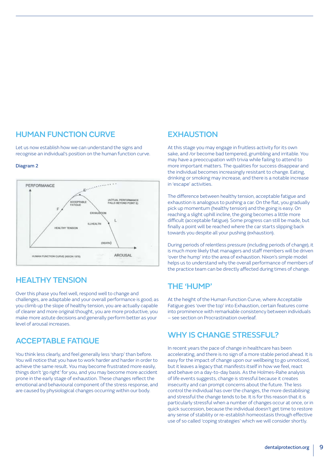### HUMAN FUNCTION CURVE

Let us now establish how we can understand the signs and recognise an individual's position on the human function curve.

#### Diagram 2



#### HEALTHY TENSION

Over this phase you feel well, respond well to change and challenges, are adaptable and your overall performance is good; as you climb up the slope of healthy tension, you are actually capable of clearer and more original thought, you are more productive, you make more astute decisions and generally perform better as your level of arousal increases.

### ACCEPTABLE FATIGUE

You think less clearly, and feel generally less 'sharp' than before. You will notice that you have to work harder and harder in order to achieve the same result. You may become frustrated more easily, things don't 'go right' for you, and you may become more accident prone in the early stage of exhaustion. These changes reflect the emotional and behavioural component of the stress response, and are caused by physiological changes occurring within our body.

#### **EXHAUSTION**

At this stage you may engage in fruitless activity for its own sake, and /or become bad tempered, grumbling and irritable. You may have a preoccupation with trivia while failing to attend to more important matters. The qualities for success disappear and the individual becomes increasingly resistant to change. Eating, drinking or smoking may increase, and there is a notable increase in 'escape' activities.

The difference between healthy tension, acceptable fatigue and exhaustion is analogous to pushing a car. On the flat, you gradually pick up momentum (healthy tension) and the going is easy. On reaching a slight uphill incline, the going becomes a little more difficult (acceptable fatigue). Some progress can still be made, but finally a point will be reached where the car starts slipping back towards you despite all your pushing (exhaustion).

During periods of relentless pressure (including periods of change), it is much more likely that managers and staff members will be driven 'over the hump' into the area of exhaustion. Nixon's simple model helps us to understand why the overall performance of members of the practice team can be directly affected during times of change.

#### THE 'HUMP'

At the height of the Human Function Curve, where Acceptable Fatigue goes 'over the top' into Exhaustion, certain features come into prominence with remarkable consistency between individuals – see section on Procrastination overleaf.

### WHY IS CHANGE STRESSFUL?

In recent years the pace of change in healthcare has been accelerating, and there is no sign of a more stable period ahead. It is easy for the impact of change upon our wellbeing to go unnoticed, but it leaves a legacy that manifests itself in how we feel, react and behave on a day-to-day basis. As the Holmes-Rahe analysis of life events suggests, change is stressful because it creates insecurity and can prompt concerns about the future. The less control the individual has over the changes, the more destabilising and stressful the change tends to be. It is for this reason that it is particularly stressful when a number of changes occur at once, or in quick succession, because the individual doesn't get time to restore any sense of stability or re-establish homeostasis through effective use of so called 'coping strategies' which we will consider shortly.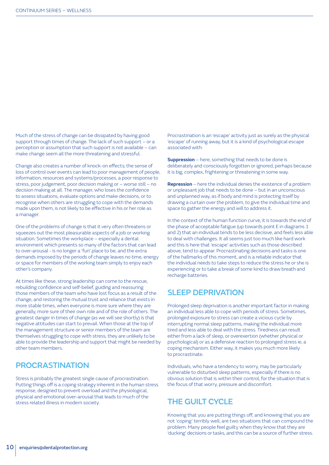Much of the stress of change can be dissipated by having good support through times of change. The lack of such support – or a perception or assumption that such support is not available – can make change seem all the more threatening and stressful.

Change also creates a number of knock-on effects; the sense of loss of control over events can lead to poor management of people, information, resources and systems/processes, a poor response to stress, poor judgement, poor decision making or – worse still – no decision making at all. The manager, who loses the confidence to assess situations, evaluate options and make decisions, or to recognise when others are struggling to cope with the demands made upon them, is not likely to be effective in his or her role as a manager.

One of the problems of change is that it very often threatens or squeezes out the most pleasurable aspects of a job or working situation. Sometimes the workplace – especially a dental environment which presents so many of the factors that can lead to over-arousal - is no longer a 'fun' place to be, and the extra demands imposed by the periods of change leaves no time, energy or space for members of the working team simply to enjoy each other's company.

At times like these, strong leadership can come to the rescue, rebuilding confidence and self-belief, guiding and reassuring those members of the team who have lost focus as a result of the change, and restoring the mutual trust and reliance that exists in more stable times, when everyone is more sure where they are generally, more sure of their own role and of the role of others. The greatest danger in times of change (as we will see shortly) is that negative attitudes can start to prevail. When those at the top of the management structure or senior members of the team are themselves struggling to cope with stress, they are unlikely to be able to provide the leadership and support that might be needed by other team members.

#### PROCRASTINATION

Stress is probably the greatest single cause of procrastination. Putting things off is a coping strategy inherent in the human stress response, designed to prevent overload and the physiological, physical and emotional over-arousal that leads to much of the stress related illness in modern society.

Procrastination is an 'escape' activity just as surely as the physical 'escape' of running away, but it is a kind of psychological escape associated with:

**Suppression** – here, something that needs to be done is deliberately and consciously forgotten or ignored, perhaps because it is big, complex, frightening or threatening in some way.

**Repression** – here the individual denies the existence of a problem or unpleasant job that needs to be done – but in an unconscious and unplanned way, as if body and mind is protecting itself by drawing a curtain over the problem, to give the individual time and space to gather the energy and will to address it.

In the context of the human function curve, it is towards the end of the phase of acceptable fatigue (up towards point E in diagrams 1 and 2) that an individual tends to be less decisive, and feels less able to deal with challenges. It all seems just too much like hard work and this is here that 'escape' activities such as those described above, tend to appear. Procrastinating decisions and tasks is one of the hallmarks of this moment, and is a reliable indicator that the individual needs to take steps to reduce the stress he or she is experiencing or to take a break of some kind to draw breath and recharge batteries.

#### SLEEP DEPRIVATION

Prolonged sleep deprivation is another important factor in making an individual less able to cope with periods of stress. Sometimes, prolonged exposure to stress can create a vicious cycle by interrupting normal sleep patterns, making the individual more tired and less able to deal with the stress. Tiredness can result either from a lack of sleep, or overexertion (whether physical or psychological) or as a defensive reaction to prolonged stress ie, a coping mechanism. Either way, it makes you much more likely to procrastinate.

Individuals, who have a tendency to worry, may be particularly vulnerable to disturbed sleep patterns, especially if there is no obvious solution that is within their control, for the situation that is the focus of that worry, pressure and discomfort.

### THE GUILT CYCLE

Knowing that you are putting things off, and knowing that you are not 'coping' terribly well, are two situations that can compound the problem. Many people feel guilty when they know that they are 'ducking' decisions or tasks, and this can be a source of further stress.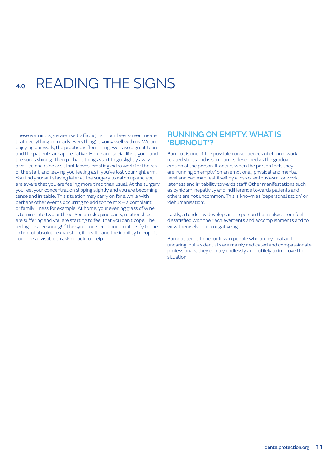# 4.0 READING THE SIGNS

These warning signs are like traffic lights in our lives. Green means that everything (or nearly everything) is going well with us. We are enjoying our work, the practice is flourishing, we have a great team and the patients are appreciative. Home and social life is good and the sun is shining. Then perhaps things start to go slightly awry – a valued chairside assistant leaves, creating extra work for the rest of the staff, and leaving you feeling as if you've lost your right arm. You find yourself staying later at the surgery to catch up and you are aware that you are feeling more tired than usual. At the surgery you feel your concentration slipping slightly and you are becoming tense and irritable. This situation may carry on for a while with perhaps other events occurring to add to the mix – a complaint or family illness for example. At home, your evening glass of wine is turning into two or three. You are sleeping badly, relationships are suffering and you are starting to feel that you can't cope. The red light is beckoning! If the symptoms continue to intensify to the extent of absolute exhaustion, ill health and the inability to cope it could be advisable to ask or look for help.

#### RUNNING ON EMPTY. WHAT IS 'BURNOUT'?

Burnout is one of the possible consequences of chronic work related stress and is sometimes described as the gradual erosion of the person. It occurs when the person feels they are 'running on empty' on an emotional, physical and mental level and can manifest itself by a loss of enthusiasm for work, lateness and irritability towards staff. Other manifestations such as cynicism, negativity and indifference towards patients and others are not uncommon. This is known as 'depersonalisation' or 'dehumanisation'.

Lastly, a tendency develops in the person that makes them feel dissatisfied with their achievements and accomplishments and to view themselves in a negative light.

Burnout tends to occur less in people who are cynical and uncaring, but as dentists are mainly dedicated and compassionate professionals, they can try endlessly and futilely to improve the situation.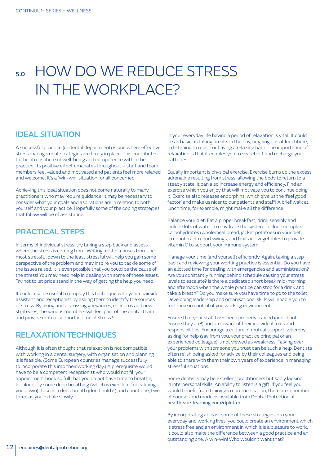# 5.0 HOW DO WE REDUCE STRESS IN THE WORKPLACE?

### IDEAL SITUATION

A successful practice (or dental department) is one where effective stress management strategies are firmly in place. This contributes to the atmosphere of well-being and competence within the practice. Its positive effect emanates throughout – staff and team members feel valued and motivated and patients feel more relaxed and welcome. It's a 'win-win' situation for all concerned.

Achieving this ideal situation does not come naturally to many practitioners who may require guidance. It may be necessary to consider what your goals and aspirations are in relation to both yourself and your practice. Hopefully some of the coping strategies that follow will be of assistance.

#### PRACTICAL STEPS

In terms of individual stress, try taking a step back and assess where the stress is coming from. Writing a list of causes from the most stressful down to the least stressful will help you gain some perspective of the problem and may inspire you to tackle some of the issues raised. It is even possible that you could be the cause of the stress! You may need help in dealing with some of these issues. Try not to let pride stand in the way of getting the help you need.

It could also be useful to employ this technique with your chairside assistant and receptionist by asking them to identify the sources of stress. By airing and discussing grievances, concerns and new strategies, the various members will feel part of the dental team and provide mutual support in time of stress.<sup>5'</sup>

#### RELAXATION TECHNIQUES

Although it is often thought that relaxation is not compatible with working in a dental surgery, with organisation and planning it is feasible. (Some European countries manage successfully to incorporate this into their working day.) A prerequisite would have to be a competent receptionist who would not fill your appointment book so full that you do not have time to breathe, let alone try some deep breathing (which is excellent for calming you down). Take in a deep breath (don't hold it) and count one, two three as you exhale slowly.

In your everyday life having a period of relaxation is vital. It could be as basic as taking breaks in the day, or going out at lunchtime, to listening to music or having a relaxing bath. The importance of relaxation is that it enables you to switch off and recharge your batteries.

Equally important is physical exercise. Exercise burns up the excess adrenaline resulting from stress, allowing the body to return to a steady state. It can also increase energy and efficiency. Find an exercise which you enjoy that will motivate you to continue doing it. Exercise also releases endorphins, which give us the 'feel good factor' and make us nicer to our patients and staff! A brief walk at lunch time, for example, might make all the difference.

Balance your diet. Eat a proper breakfast, drink sensibly and include lots of water to rehydrate the system. Include complex carbohydrates (wholemeal bread, jacket potatoes) in your diet, to counteract mood swings, and fruit and vegetables to provide vitamin C to support your immune system.

Manage your time (and yourself) efficiently. Again, taking a step back and reviewing your working practice is essential. Do you have an allotted time for dealing with emergencies and administration? Are you constantly running behind schedule causing your stress levels to escalate? Is there a dedicated short break mid-morning and afternoon when the whole practice can stop for a drink and take a breath? Do you make sure you have time to go to the toilet. Developing leadership and organisational skills will enable you to feel more in control of you working environment.

Ensure that your staff have been properly trained (and, if not, ensure they are!) and are aware of their individual roles and responsibilities. Encourage a culture of mutual support, whereby asking for help (say from you, your practice principal or an experienced colleague) is not viewed as weakness. Talking over your problems with someone you trust can be such a help. Dentists often relish being asked for advice by their colleagues and being able to share with them their own years of experience in managing stressful situations.

Some dentists may be excellent practitioners but sadly lacking in interpersonal skills. An ability to listen is a gift. If you feel you would benefit from training in communication, there are a number of courses and modules available from Dental Protection at [healthcare-learning.com/dploffer](http://www.healthcare-learning.com/dploffer).

By incorporating at least some of these strategies into your everyday and working lives, you could create an environment which is stress free and an environment in which it is a pleasure to work. It could also make the difference between a good practice and an outstanding one. A win-win! Who wouldn't want that?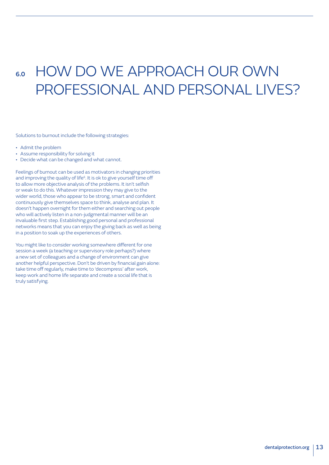# 6.0 HOW DO WE APPROACH OUR OWN PROFESSIONAL AND PERSONAL LIVES?

Solutions to burnout include the following strategies:

- Admit the problem
- Assume responsibility for solving it
- Decide what can be changed and what cannot.

Feelings of burnout can be used as motivators in changing priorities and improving the quality of life<sup>6</sup>. It is ok to give yourself time off to allow more objective analysis of the problems. It isn't selfish or weak to do this. Whatever impression they may give to the wider world, those who appear to be strong, smart and confident continuously give themselves space to think, analyse and plan. It doesn't happen overnight for them either and searching out people who will actively listen in a non-judgmental manner will be an invaluable first step. Establishing good personal and professional networks means that you can enjoy the giving back as well as being in a position to soak up the experiences of others.

You might like to consider working somewhere different for one session a week (a teaching or supervisory role perhaps?) where a new set of colleagues and a change of environment can give another helpful perspective. Don't be driven by financial gain alone: take time off regularly, make time to 'decompress' after work, keep work and home life separate and create a social life that is truly satisfying.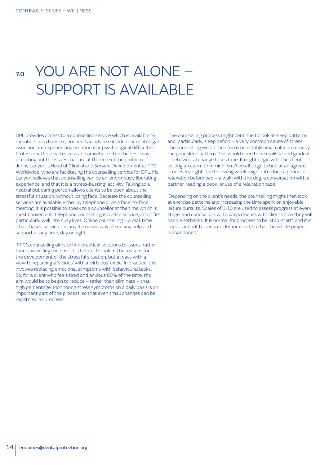# 7.0 YOU ARE NOT ALONE – SUPPORT IS AVAILABLE

DPL provides access to a counselling service which is available to members who have experienced an adverse incident or dentolegal issue and are experiencing emotional or psychological difficulties. Professional help with stress and anxiety is often the best way of rooting out the issues that are at the core of the problem. Jenny Lanyon is Head of Clinical and Service Development at PPC Worldwide, who are facilitating the counselling service for DPL. Ms Lanyon believes that counselling can be an 'enormously liberating' experience, and that it is a 'stress-busting' activity. Talking to a neutral but caring person allows clients to be open about the stressful situation, without losing face. Because the counselling services are available either by telephone or as a face-to-face meeting, it is possible to speak to a counsellor at the time which is most convenient. Telephone counselling is a 24/7 service, and it fits particularly well into busy lives. Online counselling – a real-time, 'chat'-based service – is an alternative way of seeking help and support at any time, day or night.

'PPC's counselling aims to find practical solutions to issues, rather than unravelling the past. It is helpful to look at the reasons for the development of the stressful situation, but always with a view to replacing a 'vicious' with a 'virtuous' circle. In practice, this involves replacing emotional symptoms with behavioural tasks. So, for a client who feels tired and anxious 80% of the time, the aim would be to begin to reduce – rather than eliminate – that high percentage. Monitoring stress symptoms on a daily basis is an important part of the process, so that even small changes can be registered as progress.

'The counselling process might continue to look at sleep patterns and, particularly, sleep deficit – a very common cause of stress. The counselling would then focus on establishing a plan to remedy the poor sleep pattern. This would need to be realistic and gradual – behavioural change takes time. It might begin with the client setting an alarm to remind him/herself to go to bed at an agreed time every night. The following week might introduce a period of relaxation before bed – a walk with the dog, a conversation with a partner, reading a book, or use of a relaxation tape.

'Depending on the client's needs, the counselling might then look at exercise patterns and increasing the time spent on enjoyable leisure pursuits. Scales of 0-10 are used to assess progress at every stage, and counsellors will always discuss with clients how they will handle setbacks. It is normal for progress to be 'stop-start', and it is important not to become demoralised, so that the whole project is abandoned.'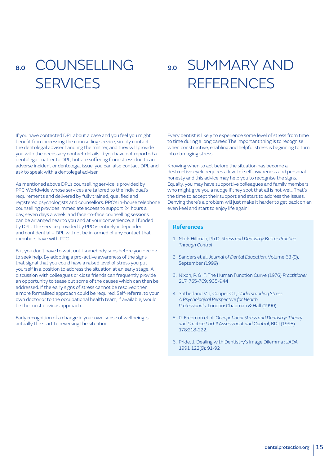# 8.0 COUNSELLING **SERVICES**

9.0 SUMMARY AND **REFERENCES** 

If you have contacted DPL about a case and you feel you might benefit from accessing the counselling service, simply contact the dentolegal adviser handling the matter, and they will provide you with the necessary contact details. If you have not reported a dentolegal matter to DPL, but are suffering from stress due to an adverse incident or dentolegal issue, you can also contact DPL and ask to speak with a dentolegal adviser.

As mentioned above DPL's counselling service is provided by PPC Worldwide whose services are tailored to the individual's requirements and delivered by fully trained, qualified and registered psychologists and counsellors. PPC's in-house telephone counselling provides immediate access to support 24 hours a day, seven days a week, and face-to-face counselling sessions can be arranged near to you and at your convenience, all funded by DPL. The service provided by PPC is entirely independent and confidential – DPL will not be informed of any contact that members have with PPC.

But you don't have to wait until somebody sues before you decide to seek help. By adopting a pro-active awareness of the signs that signal that you could have a raised level of stress you put yourself in a position to address the situation at an early stage. A discussion with colleagues or close friends can frequently provide an opportunity to tease out some of the causes which can then be addressed. If the early signs of stress cannot be resolved then a more formalised approach could be required. Self-referral to your own doctor or to the occupational health team, if available, would be the most obvious approach.

Early recognition of a change in your own sense of wellbeing is actually the start to reversing the situation.

Every dentist is likely to experience some level of stress from time to time during a long career. The important thing is to recognise when constructive, enabling and helpful stress is beginning to turn into damaging stress.

Knowing when to act before the situation has become a destructive cycle requires a level of self-awareness and personal honesty and this advice may help you to recognise the signs. Equally, you may have supportive colleagues and family members who might give you a nudge if they spot that all is not well. That's the time to accept their support and start to address the issues. Denying there's a problem will just make it harder to get back on an even keel and start to enjoy life again!

#### **References**

- 1. Mark Hillman, Ph.D. *Stress and Dentistry: Better Practice Through Control*
- 2. Sanders et al, *Journal of Dental Education*. Volume 63 (9), September (1999)
- 3. Nixon, P. G. F. The Human Function Curve (1976) *Practitioner*  217: 765-769; 935-944
- 4. Sutherland V J, Cooper C L, *Understanding Stress: A Psychological Perspective for Health Professionals*. London: Chapman & Hall (1990)
- 5. R. Freeman et al, *Occupational Stress and Dentistry: Theory and Practice Part II Assessment and Control*, BDJ (1995) 178:218-222.
- 6. Pride, J. Dealing with Dentistry's Image Dilemma : *JADA* 1991 122(9): 91-92